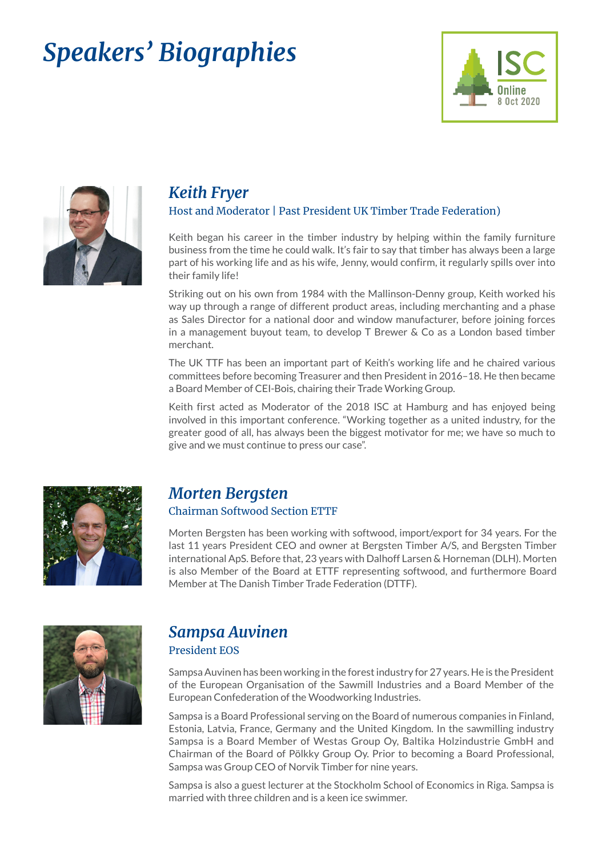# *Speakers' Biographies*





### *Keith Fryer*

#### Host and Moderator | Past President UK Timber Trade Federation)

Keith began his career in the timber industry by helping within the family furniture business from the time he could walk. It's fair to say that timber has always been a large part of his working life and as his wife, Jenny, would confirm, it regularly spills over into their family life!

Striking out on his own from 1984 with the Mallinson-Denny group, Keith worked his way up through a range of different product areas, including merchanting and a phase as Sales Director for a national door and window manufacturer, before joining forces in a management buyout team, to develop T Brewer & Co as a London based timber merchant.

The UK TTF has been an important part of Keith's working life and he chaired various committees before becoming Treasurer and then President in 2016–18. He then became a Board Member of CEI-Bois, chairing their Trade Working Group.

Keith first acted as Moderator of the 2018 ISC at Hamburg and has enjoyed being involved in this important conference. "Working together as a united industry, for the greater good of all, has always been the biggest motivator for me; we have so much to give and we must continue to press our case".



### *Morten Bergsten*

#### Chairman Softwood Section ETTF

Morten Bergsten has been working with softwood, import/export for 34 years. For the last 11 years President CEO and owner at Bergsten Timber A/S, and Bergsten Timber international ApS. Before that, 23 years with Dalhoff Larsen & Horneman (DLH). Morten is also Member of the Board at ETTF representing softwood, and furthermore Board Member at The Danish Timber Trade Federation (DTTF).



### *Sampsa Auvinen* President EOS

Sampsa Auvinen has been working in the forest industry for 27 years. He is the President of the European Organisation of the Sawmill Industries and a Board Member of the European Confederation of the Woodworking Industries.

Sampsa is a Board Professional serving on the Board of numerous companies in Finland, Estonia, Latvia, France, Germany and the United Kingdom. In the sawmilling industry Sampsa is a Board Member of Westas Group Oy, Baltika Holzindustrie GmbH and Chairman of the Board of Pölkky Group Oy. Prior to becoming a Board Professional, Sampsa was Group CEO of Norvik Timber for nine years.

Sampsa is also a guest lecturer at the Stockholm School of Economics in Riga. Sampsa is married with three children and is a keen ice swimmer.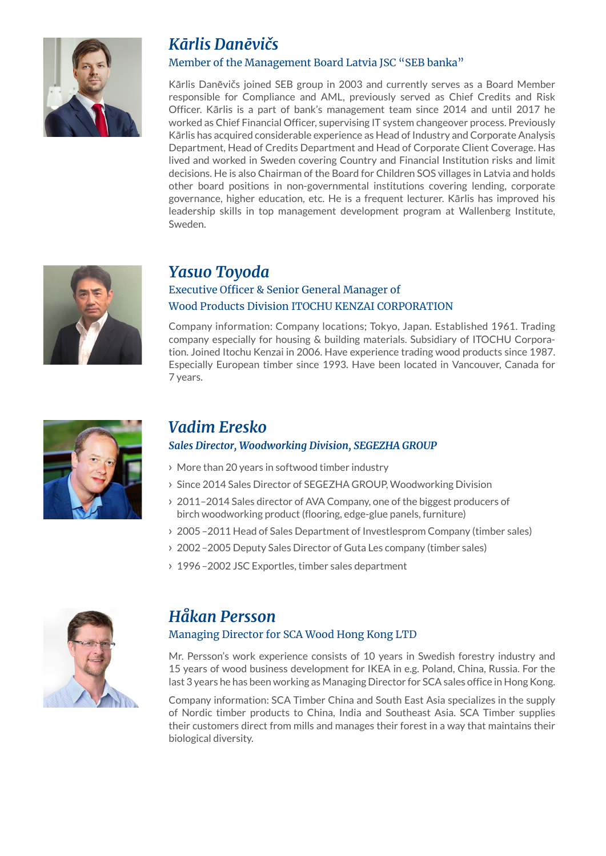

## *Kārlis Danēvičs*

#### Member of the Management Board Latvia JSC "SEB banka"

Kārlis Danēvičs joined SEB group in 2003 and currently serves as a Board Member responsible for Compliance and AML, previously served as Chief Credits and Risk Officer. Kārlis is a part of bank's management team since 2014 and until 2017 he worked as Chief Financial Officer, supervising IT system changeover process. Previously Kārlis has acquired considerable experience as Head of Industry and Corporate Analysis Department, Head of Credits Department and Head of Corporate Client Coverage. Has lived and worked in Sweden covering Country and Financial Institution risks and limit decisions. He is also Chairman of the Board for Children SOS villages in Latvia and holds other board positions in non-governmental institutions covering lending, corporate governance, higher education, etc. He is a frequent lecturer. Kārlis has improved his leadership skills in top management development program at Wallenberg Institute, Sweden.



### *Yasuo Toyoda*

### Executive Officer & Senior General Manager of Wood Products Division ITOCHU KENZAI CORPORATION

Company information: Company locations; Tokyo, Japan. Established 1961. Trading company especially for housing & building materials. Subsidiary of ITOCHU Corporation. Joined Itochu Kenzai in 2006. Have experience trading wood products since 1987. Especially European timber since 1993. Have been located in Vancouver, Canada for 7 years.



### *Vadim Eresko*

### *Sales Director, Woodworking Division, SEGEZHA GROUP*

- > More than 20 years in softwood timber industry
- > Since 2014 Sales Director of SEGEZHA GROUP, Woodworking Division
- > 2011–2014 Sales director of AVA Company, one of the biggest producers of birch woodworking product (flooring, edge-glue panels, furniture)
- > 2005 2011 Head of Sales Department of Investlesprom Company (timber sales)
- > 2002-2005 Deputy Sales Director of Guta Les company (timber sales)
- > 1996–2002 JSC Exportles, timber sales department



### *Håkan Persson*

### Managing Director for SCA Wood Hong Kong LTD

Mr. Persson's work experience consists of 10 years in Swedish forestry industry and 15 years of wood business development for IKEA in e.g. Poland, China, Russia. For the last 3 years he has been working as Managing Director for SCA sales office in Hong Kong.

Company information: SCA Timber China and South East Asia specializes in the supply of Nordic timber products to China, India and Southeast Asia. SCA Timber supplies their customers direct from mills and manages their forest in a way that maintains their biological diversity.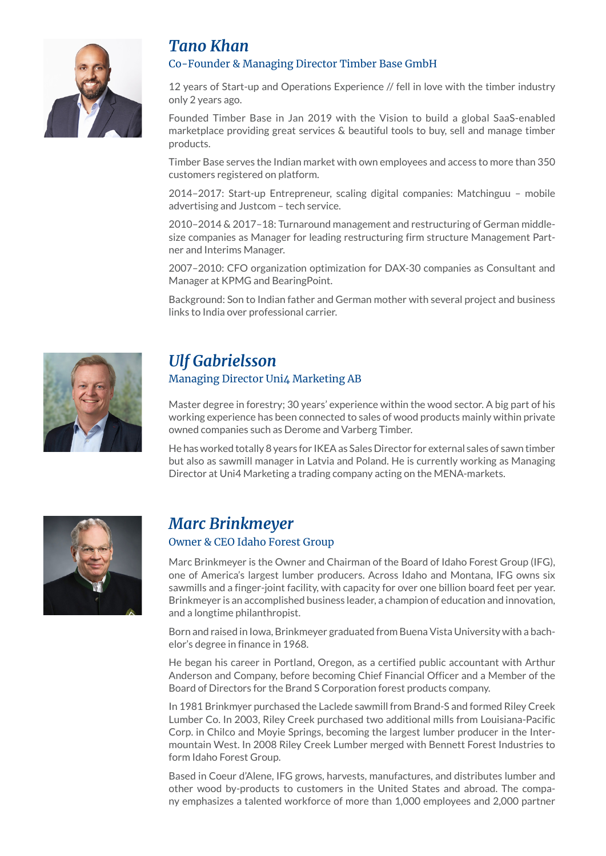

## *Tano Khan*

#### Co-Founder & Managing Director Timber Base GmbH

12 years of Start-up and Operations Experience // fell in love with the timber industry only 2 years ago.

Founded Timber Base in Jan 2019 with the Vision to build a global SaaS-enabled marketplace providing great services & beautiful tools to buy, sell and manage timber products.

Timber Base serves the Indian market with own employees and access to more than 350 customers registered on platform.

2014–2017: Start-up Entrepreneur, scaling digital companies: Matchinguu – mobile advertising and Justcom – tech service.

2010–2014 & 2017–18: Turnaround management and restructuring of German middlesize companies as Manager for leading restructuring firm structure Management Partner and Interims Manager.

2007–2010: CFO organization optimization for DAX-30 companies as Consultant and Manager at KPMG and BearingPoint.

Background: Son to Indian father and German mother with several project and business links to India over professional carrier.



# *Ulf Gabrielsson*

#### Managing Director Uni4 Marketing AB

Master degree in forestry; 30 years' experience within the wood sector. A big part of his working experience has been connected to sales of wood products mainly within private owned companies such as Derome and Varberg Timber.

He has worked totally 8 years for IKEA as Sales Director for external sales of sawn timber but also as sawmill manager in Latvia and Poland. He is currently working as Managing Director at Uni4 Marketing a trading company acting on the MENA-markets.



### *Marc Brinkmeyer*  Owner & CEO Idaho Forest Group

Marc Brinkmeyer is the Owner and Chairman of the Board of Idaho Forest Group (IFG), one of America's largest lumber producers. Across Idaho and Montana, IFG owns six sawmills and a finger-joint facility, with capacity for over one billion board feet per year. Brinkmeyer is an accomplished business leader, a champion of education and innovation, and a longtime philanthropist.

Born and raised in Iowa, Brinkmeyer graduated from Buena Vista University with a bachelor's degree in finance in 1968.

He began his career in Portland, Oregon, as a certified public accountant with Arthur Anderson and Company, before becoming Chief Financial Officer and a Member of the Board of Directors for the Brand S Corporation forest products company.

In 1981 Brinkmyer purchased the Laclede sawmill from Brand-S and formed Riley Creek Lumber Co. In 2003, Riley Creek purchased two additional mills from Louisiana-Pacific Corp. in Chilco and Moyie Springs, becoming the largest lumber producer in the Intermountain West. In 2008 Riley Creek Lumber merged with Bennett Forest Industries to form Idaho Forest Group.

Based in Coeur d'Alene, IFG grows, harvests, manufactures, and distributes lumber and other wood by-products to customers in the United States and abroad. The company emphasizes a talented workforce of more than 1,000 employees and 2,000 partner